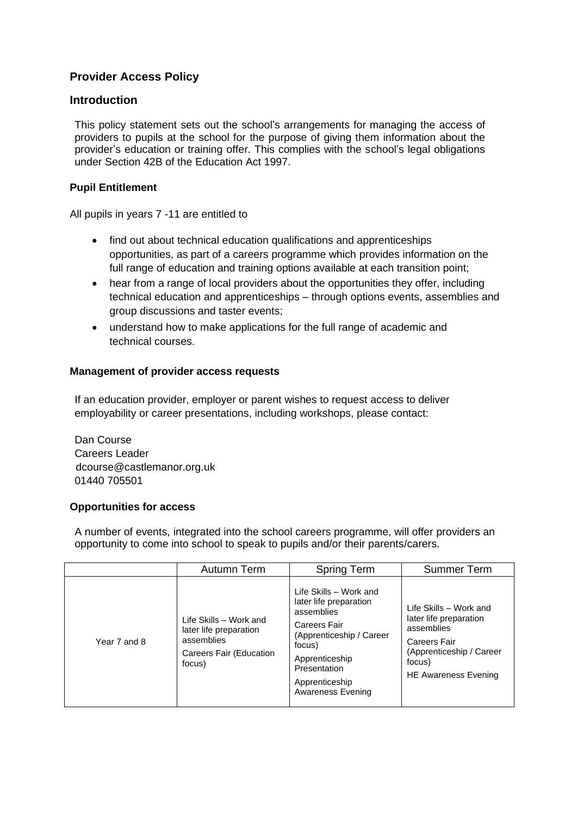# **Provider Access Policy**

## **Introduction**

This policy statement sets out the school's arrangements for managing the access of providers to pupils at the school for the purpose of giving them information about the provider's education or training offer. This complies with the school's legal obligations under Section 42B of the Education Act 1997.

### **Pupil Entitlement**

All pupils in years 7 -11 are entitled to

- find out about technical education qualifications and apprenticeships opportunities, as part of a careers programme which provides information on the full range of education and training options available at each transition point;
- hear from a range of local providers about the opportunities they offer, including technical education and apprenticeships – through options events, assemblies and group discussions and taster events;
- understand how to make applications for the full range of academic and technical courses.

#### **Management of provider access requests**

If an education provider, employer or parent wishes to request access to deliver employability or career presentations, including workshops, please contact:

Dan Course Careers Leader dcourse@castlemanor.org.uk 01440 705501

#### **Opportunities for access**

A number of events, integrated into the school careers programme, will offer providers an opportunity to come into school to speak to pupils and/or their parents/carers.

|              | Autumn Term                                                                                         | <b>Spring Term</b>                                                                                                                                                                            | <b>Summer Term</b>                                                                                                                                         |
|--------------|-----------------------------------------------------------------------------------------------------|-----------------------------------------------------------------------------------------------------------------------------------------------------------------------------------------------|------------------------------------------------------------------------------------------------------------------------------------------------------------|
| Year 7 and 8 | Life Skills - Work and<br>later life preparation<br>assemblies<br>Careers Fair (Education<br>focus) | Life Skills - Work and<br>later life preparation<br>assemblies<br>Careers Fair<br>(Apprenticeship / Career<br>focus)<br>Apprenticeship<br>Presentation<br>Apprenticeship<br>Awareness Evening | Life Skills - Work and<br>later life preparation<br>assemblies<br><b>Careers Fair</b><br>(Apprenticeship / Career<br>focus)<br><b>HE Awareness Evening</b> |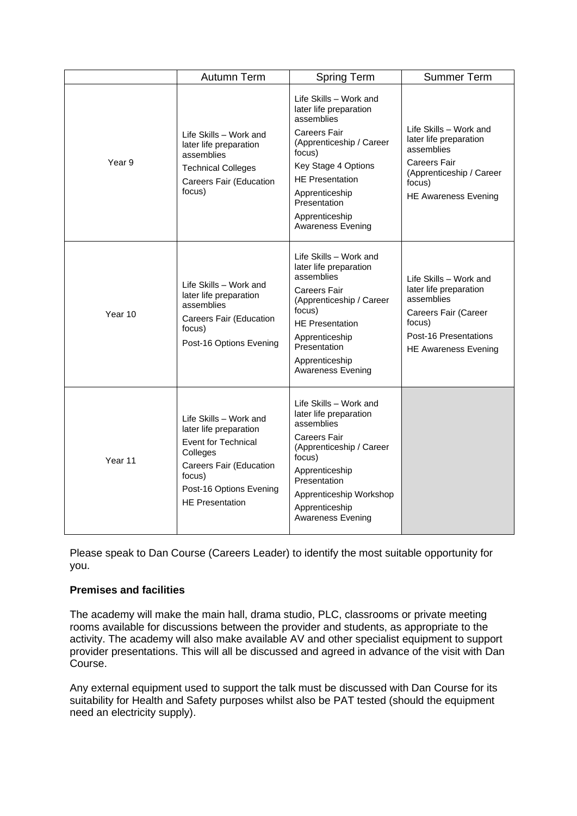|         | Autumn Term                                                                                                                                                                          | <b>Spring Term</b>                                                                                                                                                                                                                                    | <b>Summer Term</b>                                                                                                                                         |
|---------|--------------------------------------------------------------------------------------------------------------------------------------------------------------------------------------|-------------------------------------------------------------------------------------------------------------------------------------------------------------------------------------------------------------------------------------------------------|------------------------------------------------------------------------------------------------------------------------------------------------------------|
| Year 9  | Life Skills - Work and<br>later life preparation<br>assemblies<br><b>Technical Colleges</b><br>Careers Fair (Education<br>focus)                                                     | Life Skills - Work and<br>later life preparation<br>assemblies<br>Careers Fair<br>(Apprenticeship / Career<br>focus)<br>Key Stage 4 Options<br><b>HE Presentation</b><br>Apprenticeship<br>Presentation<br>Apprenticeship<br><b>Awareness Evening</b> | Life Skills - Work and<br>later life preparation<br>assemblies<br><b>Careers Fair</b><br>(Apprenticeship / Career<br>focus)<br><b>HE Awareness Evening</b> |
| Year 10 | Life Skills - Work and<br>later life preparation<br>assemblies<br>Careers Fair (Education<br>focus)<br>Post-16 Options Evening                                                       | Life Skills - Work and<br>later life preparation<br>assemblies<br>Careers Fair<br>(Apprenticeship / Career<br>focus)<br><b>HE Presentation</b><br>Apprenticeship<br>Presentation<br>Apprenticeship<br><b>Awareness Evening</b>                        | Life Skills - Work and<br>later life preparation<br>assemblies<br>Careers Fair (Career<br>focus)<br>Post-16 Presentations<br><b>HE Awareness Evening</b>   |
| Year 11 | Life Skills - Work and<br>later life preparation<br><b>Event for Technical</b><br>Colleges<br>Careers Fair (Education<br>focus)<br>Post-16 Options Evening<br><b>HE Presentation</b> | Life Skills - Work and<br>later life preparation<br>assemblies<br>Careers Fair<br>(Apprenticeship / Career<br>focus)<br>Apprenticeship<br>Presentation<br>Apprenticeship Workshop<br>Apprenticeship<br>Awareness Evening                              |                                                                                                                                                            |

Please speak to Dan Course (Careers Leader) to identify the most suitable opportunity for you.

## **Premises and facilities**

The academy will make the main hall, drama studio, PLC, classrooms or private meeting rooms available for discussions between the provider and students, as appropriate to the activity. The academy will also make available AV and other specialist equipment to support provider presentations. This will all be discussed and agreed in advance of the visit with Dan Course.

Any external equipment used to support the talk must be discussed with Dan Course for its suitability for Health and Safety purposes whilst also be PAT tested (should the equipment need an electricity supply).